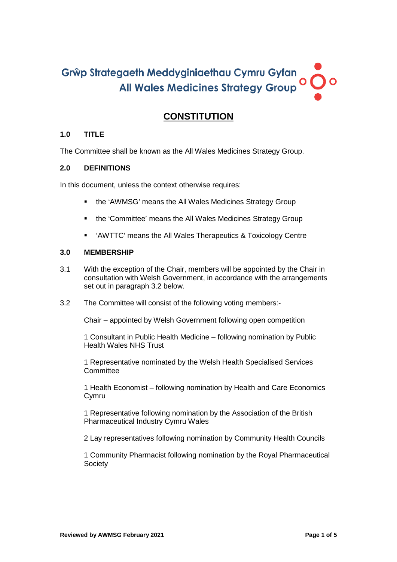# Grŵp Strategaeth Meddyginiaethau Cymru Gyfan  $\overline{O}$ All Wales Medicines Strategy Group

# **CONSTITUTION**

# **1.0 TITLE**

The Committee shall be known as the All Wales Medicines Strategy Group.

## **2.0 DEFINITIONS**

In this document, unless the context otherwise requires:

- the 'AWMSG' means the All Wales Medicines Strategy Group
- the 'Committee' means the All Wales Medicines Strategy Group
- 'AWTTC' means the All Wales Therapeutics & Toxicology Centre

## **3.0 MEMBERSHIP**

- 3.1 With the exception of the Chair, members will be appointed by the Chair in consultation with Welsh Government, in accordance with the arrangements set out in paragraph 3.2 below.
- 3.2 The Committee will consist of the following voting members:-

Chair – appointed by Welsh Government following open competition

1 Consultant in Public Health Medicine – following nomination by Public Health Wales NHS Trust

1 Representative nominated by the Welsh Health Specialised Services **Committee** 

1 Health Economist – following nomination by Health and Care Economics Cymru

1 Representative following nomination by the Association of the British Pharmaceutical Industry Cymru Wales

2 Lay representatives following nomination by Community Health Councils

1 Community Pharmacist following nomination by the Royal Pharmaceutical **Society**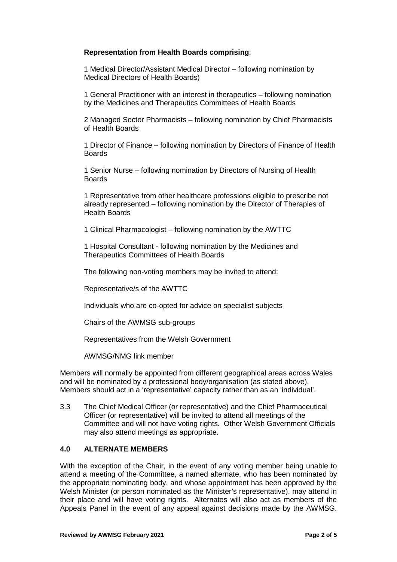#### **Representation from Health Boards comprising**:

1 Medical Director/Assistant Medical Director – following nomination by Medical Directors of Health Boards)

1 General Practitioner with an interest in therapeutics – following nomination by the Medicines and Therapeutics Committees of Health Boards

2 Managed Sector Pharmacists – following nomination by Chief Pharmacists of Health Boards

1 Director of Finance – following nomination by Directors of Finance of Health Boards

1 Senior Nurse – following nomination by Directors of Nursing of Health Boards

1 Representative from other healthcare professions eligible to prescribe not already represented – following nomination by the Director of Therapies of Health Boards

1 Clinical Pharmacologist – following nomination by the AWTTC

1 Hospital Consultant - following nomination by the Medicines and Therapeutics Committees of Health Boards

The following non-voting members may be invited to attend:

Representative/s of the AWTTC

Individuals who are co-opted for advice on specialist subjects

Chairs of the AWMSG sub-groups

Representatives from the Welsh Government

AWMSG/NMG link member

Members will normally be appointed from different geographical areas across Wales and will be nominated by a professional body/organisation (as stated above). Members should act in a 'representative' capacity rather than as an 'individual'.

3.3 The Chief Medical Officer (or representative) and the Chief Pharmaceutical Officer (or representative) will be invited to attend all meetings of the Committee and will not have voting rights. Other Welsh Government Officials may also attend meetings as appropriate.

# **4.0 ALTERNATE MEMBERS**

With the exception of the Chair, in the event of any voting member being unable to attend a meeting of the Committee, a named alternate, who has been nominated by the appropriate nominating body, and whose appointment has been approved by the Welsh Minister (or person nominated as the Minister's representative), may attend in their place and will have voting rights. Alternates will also act as members of the Appeals Panel in the event of any appeal against decisions made by the AWMSG.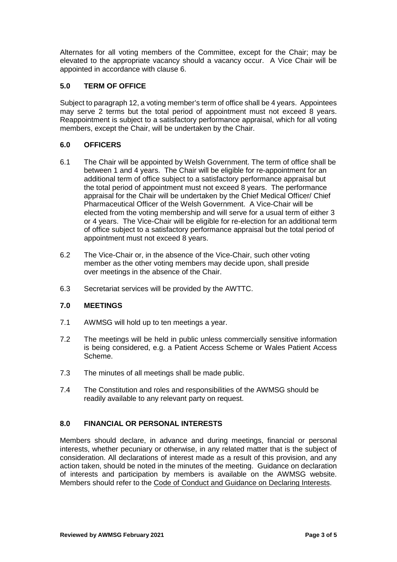Alternates for all voting members of the Committee, except for the Chair; may be elevated to the appropriate vacancy should a vacancy occur. A Vice Chair will be appointed in accordance with clause 6.

## **5.0 TERM OF OFFICE**

Subject to paragraph 12, a voting member's term of office shall be 4 years. Appointees may serve 2 terms but the total period of appointment must not exceed 8 years. Reappointment is subject to a satisfactory performance appraisal, which for all voting members, except the Chair, will be undertaken by the Chair.

## **6.0 OFFICERS**

- 6.1 The Chair will be appointed by Welsh Government. The term of office shall be between 1 and 4 years. The Chair will be eligible for re-appointment for an additional term of office subject to a satisfactory performance appraisal but the total period of appointment must not exceed 8 years. The performance appraisal for the Chair will be undertaken by the Chief Medical Officer/ Chief Pharmaceutical Officer of the Welsh Government. A Vice-Chair will be elected from the voting membership and will serve for a usual term of either 3 or 4 years. The Vice-Chair will be eligible for re-election for an additional term of office subject to a satisfactory performance appraisal but the total period of appointment must not exceed 8 years.
- 6.2 The Vice-Chair or, in the absence of the Vice-Chair, such other voting member as the other voting members may decide upon, shall preside over meetings in the absence of the Chair.
- 6.3 Secretariat services will be provided by the AWTTC.

## **7.0 MEETINGS**

- 7.1 AWMSG will hold up to ten meetings a year.
- 7.2 The meetings will be held in public unless commercially sensitive information is being considered, e.g. a Patient Access Scheme or Wales Patient Access Scheme.
- 7.3 The minutes of all meetings shall be made public.
- 7.4 The Constitution and roles and responsibilities of the AWMSG should be readily available to any relevant party on request.

## **8.0 FINANCIAL OR PERSONAL INTERESTS**

Members should declare, in advance and during meetings, financial or personal interests, whether pecuniary or otherwise, in any related matter that is the subject of consideration. All declarations of interest made as a result of this provision, and any action taken, should be noted in the minutes of the meeting. Guidance on declaration of interests and participation by members is available on the AWMSG website. Members should refer to the [Code of Conduct and Guidance on Declaring Interests.](https://www.google.co.uk/search?source=hp&ei=ldssYPKdGZCclwT-37KADg&iflsig=AINFCbYAAAAAYCzppWh3W93ZhtXzshv2Gigwl-A-IDdj&q=AWMSG+Code+of+Conduct+and+Guidance+on+declaring+interests&oq=AWMSG+Code+of+Conduct+and+Guidance+on+declaring+interests&gs_lcp=Cgdnd3Mtd2l6EAM6CAgAELEDEIMBOg4ILhCxAxCDARDHARCjAjoLCC4QsQMQxwEQowI6BQgAELEDOggILhCxAxCDAToLCC4QsQMQgwEQkwI6AggAOggILhDHARCvAToLCC4QsQMQxwEQrwE6AgguOgUILhCxAzoGCAAQFhAeOgUIABCGAzoFCCEQoAE6BwghEAoQoAE6BAghEBVQtBpYuVpgy1toAHAAeACAAaYBiAGCJZIBBDU0LjOYAQCgAQGqAQdnd3Mtd2l6&sclient=gws-wiz&ved=0ahUKEwiyvNLMx_DuAhUQzoUKHf6vDOAQ4dUDCAw&uact=5#spf=1613552545872)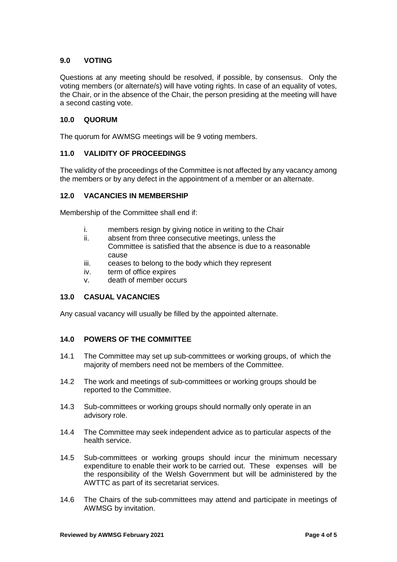# **9.0 VOTING**

Questions at any meeting should be resolved, if possible, by consensus. Only the voting members (or alternate/s) will have voting rights. In case of an equality of votes, the Chair, or in the absence of the Chair, the person presiding at the meeting will have a second casting vote.

## **10.0 QUORUM**

The quorum for AWMSG meetings will be 9 voting members.

#### **11.0 VALIDITY OF PROCEEDINGS**

The validity of the proceedings of the Committee is not affected by any vacancy among the members or by any defect in the appointment of a member or an alternate.

#### **12.0 VACANCIES IN MEMBERSHIP**

Membership of the Committee shall end if:

- i. members resign by giving notice in writing to the Chair
- ii. absent from three consecutive meetings, unless the Committee is satisfied that the absence is due to a reasonable cause
- iii. ceases to belong to the body which they represent
- iv. term of office expires
- v. death of member occurs

## **13.0 CASUAL VACANCIES**

Any casual vacancy will usually be filled by the appointed alternate.

#### **14.0 POWERS OF THE COMMITTEE**

- 14.1 The Committee may set up sub-committees or working groups, of which the majority of members need not be members of the Committee.
- 14.2 The work and meetings of sub-committees or working groups should be reported to the Committee.
- 14.3 Sub-committees or working groups should normally only operate in an advisory role.
- 14.4 The Committee may seek independent advice as to particular aspects of the health service.
- 14.5 Sub-committees or working groups should incur the minimum necessary expenditure to enable their work to be carried out. These expenses will be the responsibility of the Welsh Government but will be administered by the AWTTC as part of its secretariat services.
- 14.6 The Chairs of the sub-committees may attend and participate in meetings of AWMSG by invitation.